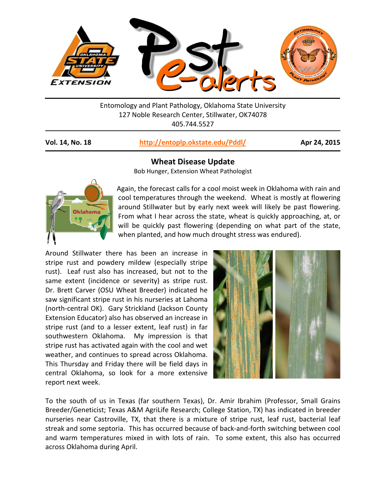

Entomology and Plant Pathology, Oklahoma State University 127 Noble Research Center, Stillwater, OK74078 405.744.5527

## **Vol. 14, No. 18 <http://entoplp.okstate.edu/Pddl/> Apr 24, 2015**



**Wheat Disease Update**

Bob Hunger, Extension Wheat Pathologist

Again, the forecast calls for a cool moist week in Oklahoma with rain and cool temperatures through the weekend. Wheat is mostly at flowering around Stillwater but by early next week will likely be past flowering. From what I hear across the state, wheat is quickly approaching, at, or will be quickly past flowering (depending on what part of the state, when planted, and how much drought stress was endured).

Around Stillwater there has been an increase in stripe rust and powdery mildew (especially stripe rust). Leaf rust also has increased, but not to the same extent (incidence or severity) as stripe rust. Dr. Brett Carver (OSU Wheat Breeder) indicated he saw significant stripe rust in his nurseries at Lahoma (north-central OK). Gary Strickland (Jackson County Extension Educator) also has observed an increase in stripe rust (and to a lesser extent, leaf rust) in far southwestern Oklahoma. My impression is that stripe rust has activated again with the cool and wet weather, and continues to spread across Oklahoma. This Thursday and Friday there will be field days in central Oklahoma, so look for a more extensive report next week.



To the south of us in Texas (far southern Texas), Dr. Amir Ibrahim (Professor, Small Grains Breeder/Geneticist; Texas A&M AgriLife Research; College Station, TX) has indicated in breeder nurseries near Castroville, TX, that there is a mixture of stripe rust, leaf rust, bacterial leaf streak and some septoria. This has occurred because of back-and-forth switching between cool and warm temperatures mixed in with lots of rain. To some extent, this also has occurred across Oklahoma during April.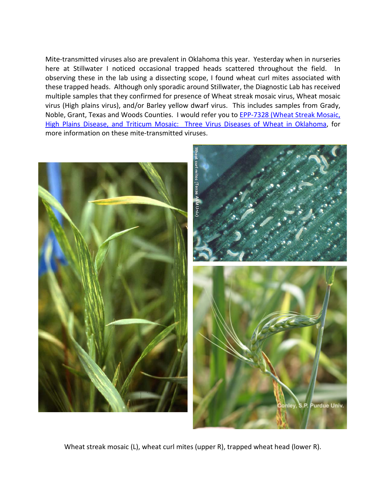Mite-transmitted viruses also are prevalent in Oklahoma this year. Yesterday when in nurseries here at Stillwater I noticed occasional trapped heads scattered throughout the field. In observing these in the lab using a dissecting scope, I found wheat curl mites associated with these trapped heads. Although only sporadic around Stillwater, the Diagnostic Lab has received multiple samples that they confirmed for presence of Wheat streak mosaic virus, Wheat mosaic virus (High plains virus), and/or Barley yellow dwarf virus. This includes samples from Grady, Noble, Grant, Texas and Woods Counties. I would refer you to **EPP-7328 (Wheat Streak Mosaic**, [High Plains Disease, and Triticum Mosaic: Three Virus Diseases of Wheat in Oklahoma,](http://pods.dasnr.okstate.edu/docushare/dsweb/Get/Document-8987/EPP-7328.pdf) for more information on these mite-transmitted viruses.



Wheat streak mosaic (L), wheat curl mites (upper R), trapped wheat head (lower R).